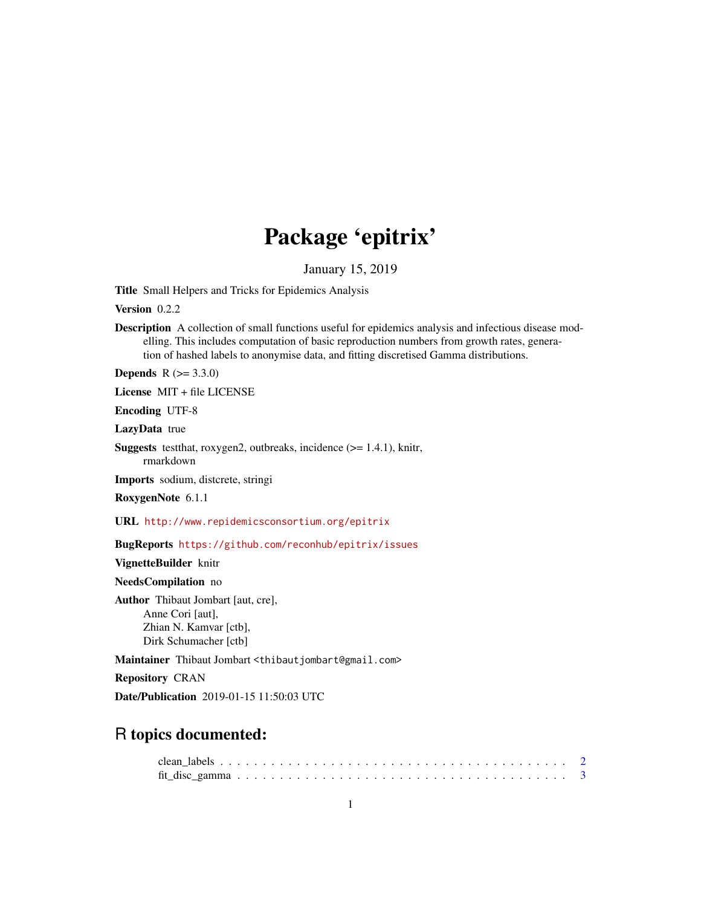## Package 'epitrix'

January 15, 2019

<span id="page-0-0"></span>Title Small Helpers and Tricks for Epidemics Analysis

Version 0.2.2

Description A collection of small functions useful for epidemics analysis and infectious disease modelling. This includes computation of basic reproduction numbers from growth rates, generation of hashed labels to anonymise data, and fitting discretised Gamma distributions.

**Depends** R  $(>= 3.3.0)$ 

License MIT + file LICENSE

Encoding UTF-8

LazyData true

**Suggests** test that, roxygen2, outbreaks, incidence  $(>= 1.4.1)$ , knitr, rmarkdown

Imports sodium, distcrete, stringi

RoxygenNote 6.1.1

URL <http://www.repidemicsconsortium.org/epitrix>

BugReports <https://github.com/reconhub/epitrix/issues>

VignetteBuilder knitr

NeedsCompilation no

Author Thibaut Jombart [aut, cre], Anne Cori [aut], Zhian N. Kamvar [ctb], Dirk Schumacher [ctb]

Maintainer Thibaut Jombart <thibautjombart@gmail.com>

Repository CRAN

Date/Publication 2019-01-15 11:50:03 UTC

### R topics documented: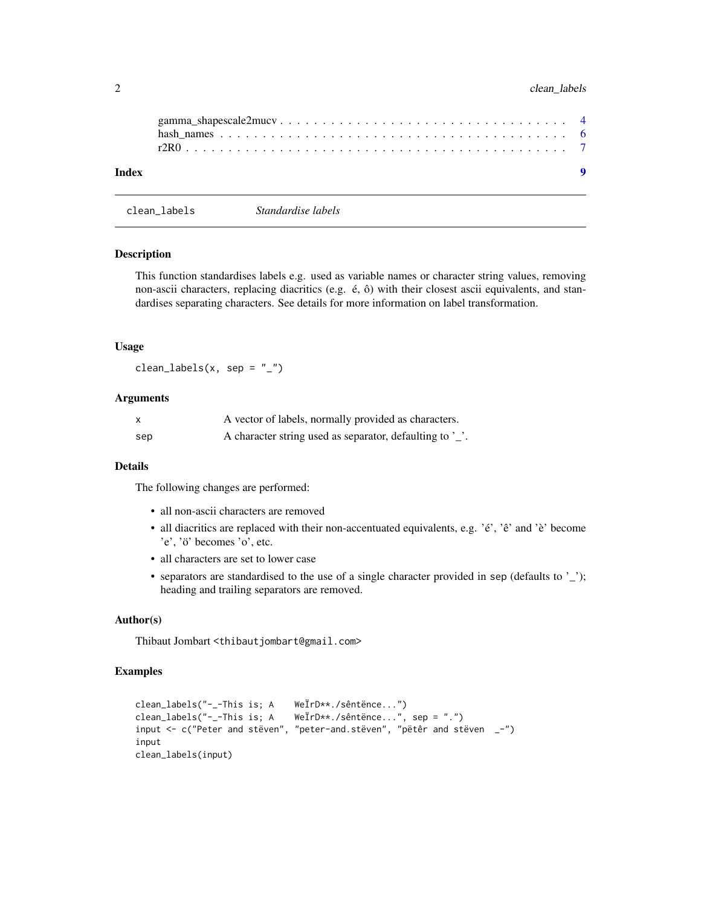#### <span id="page-1-0"></span>2 clean\_labels

| Index |  |  |  |  |  |  |  |  |  |  |  |  |  |  |  |
|-------|--|--|--|--|--|--|--|--|--|--|--|--|--|--|--|

```
clean_labels Standardise labels
```
#### Description

This function standardises labels e.g. used as variable names or character string values, removing non-ascii characters, replacing diacritics (e.g. é, ô) with their closest ascii equivalents, and standardises separating characters. See details for more information on label transformation.

#### Usage

 $clean_labels(x, sep = "__")$ 

#### Arguments

| X   | A vector of labels, normally provided as characters.     |
|-----|----------------------------------------------------------|
| sep | A character string used as separator, defaulting to '_'. |

#### Details

The following changes are performed:

- all non-ascii characters are removed
- all diacritics are replaced with their non-accentuated equivalents, e.g. 'é', 'ê' and 'è' become 'e', 'ö' becomes 'o', etc.
- all characters are set to lower case
- separators are standardised to the use of a single character provided in sep (defaults to '\_'); heading and trailing separators are removed.

#### Author(s)

Thibaut Jombart <thibautjombart@gmail.com>

```
clean_labels("-_-This is; A WeÏrD**./sêntënce...")
clean_labels("-_-This is; A WeÏrD**./sêntënce...", sep = ".")
input <- c("Peter and stëven", "peter-and.stëven", "pëtêr and stëven _-")
input
clean_labels(input)
```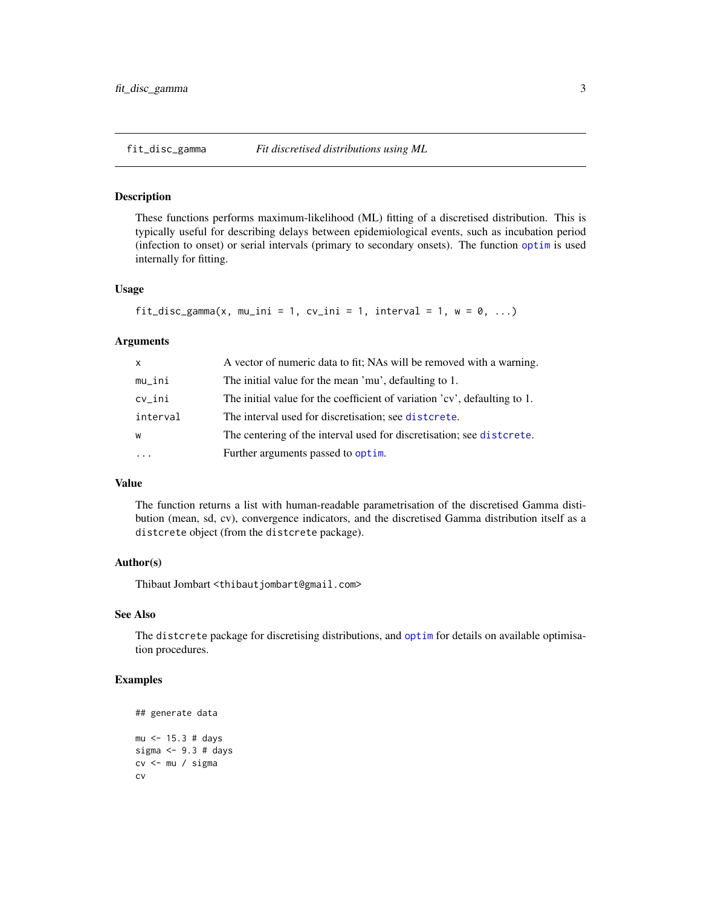<span id="page-2-0"></span>

#### Description

These functions performs maximum-likelihood (ML) fitting of a discretised distribution. This is typically useful for describing delays between epidemiological events, such as incubation period (infection to onset) or serial intervals (primary to secondary onsets). The function [optim](#page-0-0) is used internally for fitting.

#### Usage

```
fit_disc_gamma(x, mu_ini = 1, cv_ini = 1, interval = 1, w = 0, ...)
```
#### Arguments

| X        | A vector of numeric data to fit; NAs will be removed with a warning.      |
|----------|---------------------------------------------------------------------------|
| mu_ini   | The initial value for the mean 'mu', defaulting to 1.                     |
| cv_ini   | The initial value for the coefficient of variation 'cv', defaulting to 1. |
| interval | The interval used for discretisation; see distorete.                      |
| W        | The centering of the interval used for discretisation; see distorete.     |
| $\cdots$ | Further arguments passed to optim.                                        |

#### Value

The function returns a list with human-readable parametrisation of the discretised Gamma distibution (mean, sd, cv), convergence indicators, and the discretised Gamma distribution itself as a distcrete object (from the distcrete package).

#### Author(s)

Thibaut Jombart <thibautjombart@gmail.com>

#### See Also

The distcrete package for discretising distributions, and [optim](#page-0-0) for details on available optimisation procedures.

```
## generate data
mu <- 15.3 # days
sigma <- 9.3 # days
cv <- mu / sigma
cv
```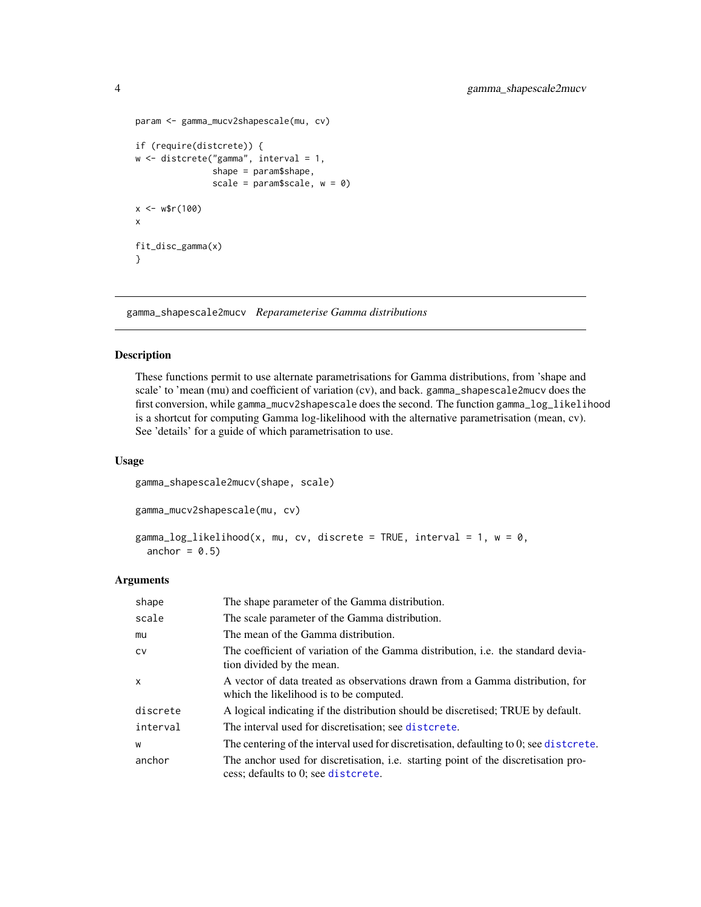```
param <- gamma_mucv2shapescale(mu, cv)
if (require(distcrete)) {
w <- distcrete("gamma", interval = 1,
               shape = param$shape,
               scale = param$scale, w = 0)
x < - w$r(100)
x
fit_disc_gamma(x)
}
```
gamma\_shapescale2mucv *Reparameterise Gamma distributions*

#### Description

These functions permit to use alternate parametrisations for Gamma distributions, from 'shape and scale' to 'mean (mu) and coefficient of variation (cv), and back. gamma\_shapescale2mucv does the first conversion, while gamma\_mucv2shapescale does the second. The function gamma\_log\_likelihood is a shortcut for computing Gamma log-likelihood with the alternative parametrisation (mean, cv). See 'details' for a guide of which parametrisation to use.

#### Usage

```
gamma_shapescale2mucv(shape, scale)
```

```
gamma_mucv2shapescale(mu, cv)
```

```
gamma_log_likelihood(x, mu, cv, discrete = TRUE, interval = 1, w = 0,
 anchor = 0.5)
```
#### Arguments

| shape        | The shape parameter of the Gamma distribution.                                                                            |
|--------------|---------------------------------------------------------------------------------------------------------------------------|
| scale        | The scale parameter of the Gamma distribution.                                                                            |
| mu           | The mean of the Gamma distribution.                                                                                       |
| <b>CV</b>    | The coefficient of variation of the Gamma distribution, <i>i.e.</i> the standard devia-<br>tion divided by the mean.      |
| $\mathsf{x}$ | A vector of data treated as observations drawn from a Gamma distribution, for<br>which the likelihood is to be computed.  |
| discrete     | A logical indicating if the distribution should be discretised; TRUE by default.                                          |
| interval     | The interval used for discretisation; see distcrete.                                                                      |
| W            | The centering of the interval used for discretisation, defaulting to 0; see distortee.                                    |
| anchor       | The anchor used for discretisation, i.e. starting point of the discretisation pro-<br>cess; defaults to 0; see distcrete. |

<span id="page-3-0"></span>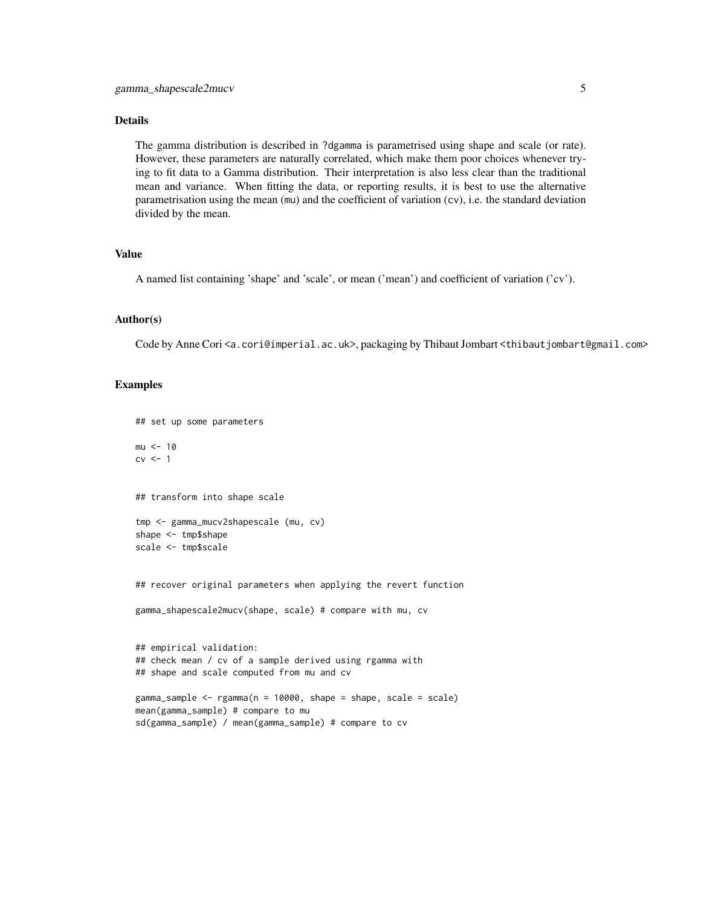#### Details

The gamma distribution is described in ?dgamma is parametrised using shape and scale (or rate). However, these parameters are naturally correlated, which make them poor choices whenever trying to fit data to a Gamma distribution. Their interpretation is also less clear than the traditional mean and variance. When fitting the data, or reporting results, it is best to use the alternative parametrisation using the mean (mu) and the coefficient of variation (cv), i.e. the standard deviation divided by the mean.

#### Value

A named list containing 'shape' and 'scale', or mean ('mean') and coefficient of variation ('cv').

#### Author(s)

Code by Anne Cori <a.cori@imperial.ac.uk>, packaging by Thibaut Jombart <thibaut jombart@gmail.com>

```
## set up some parameters
mu < - 10cv \leq -1## transform into shape scale
tmp <- gamma_mucv2shapescale (mu, cv)
shape <- tmp$shape
scale <- tmp$scale
## recover original parameters when applying the revert function
gamma_shapescale2mucv(shape, scale) # compare with mu, cv
## empirical validation:
## check mean / cv of a sample derived using rgamma with
## shape and scale computed from mu and cv
gamma_sample <- rgamma(n = 10000, shape = shape, scale = scale)
mean(gamma_sample) # compare to mu
sd(gamma_sample) / mean(gamma_sample) # compare to cv
```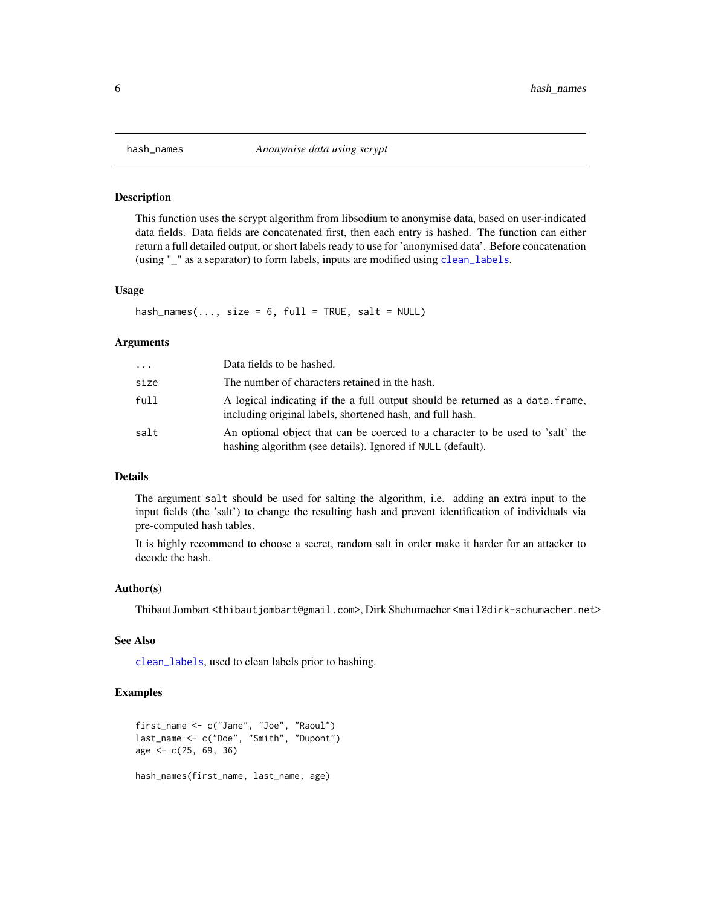<span id="page-5-0"></span>

#### Description

This function uses the scrypt algorithm from libsodium to anonymise data, based on user-indicated data fields. Data fields are concatenated first, then each entry is hashed. The function can either return a full detailed output, or short labels ready to use for 'anonymised data'. Before concatenation (using "\_" as a separator) to form labels, inputs are modified using [clean\\_labels](#page-1-1).

#### Usage

hash\_names(..., size =  $6$ , full = TRUE, salt = NULL)

#### Arguments

| .    | Data fields to be hashed.                                                                                                                     |
|------|-----------------------------------------------------------------------------------------------------------------------------------------------|
| size | The number of characters retained in the hash.                                                                                                |
| full | A logical indicating if the a full output should be returned as a data. frame,<br>including original labels, shortened hash, and full hash.   |
| salt | An optional object that can be coerced to a character to be used to 'salt' the<br>hashing algorithm (see details). Ignored if NULL (default). |

#### Details

The argument salt should be used for salting the algorithm, i.e. adding an extra input to the input fields (the 'salt') to change the resulting hash and prevent identification of individuals via pre-computed hash tables.

It is highly recommend to choose a secret, random salt in order make it harder for an attacker to decode the hash.

#### Author(s)

Thibaut Jombart <thibautjombart@gmail.com>, Dirk Shchumacher <mail@dirk-schumacher.net>

#### See Also

[clean\\_labels](#page-1-1), used to clean labels prior to hashing.

```
first_name <- c("Jane", "Joe", "Raoul")
last_name <- c("Doe", "Smith", "Dupont")
age <- c(25, 69, 36)
hash_names(first_name, last_name, age)
```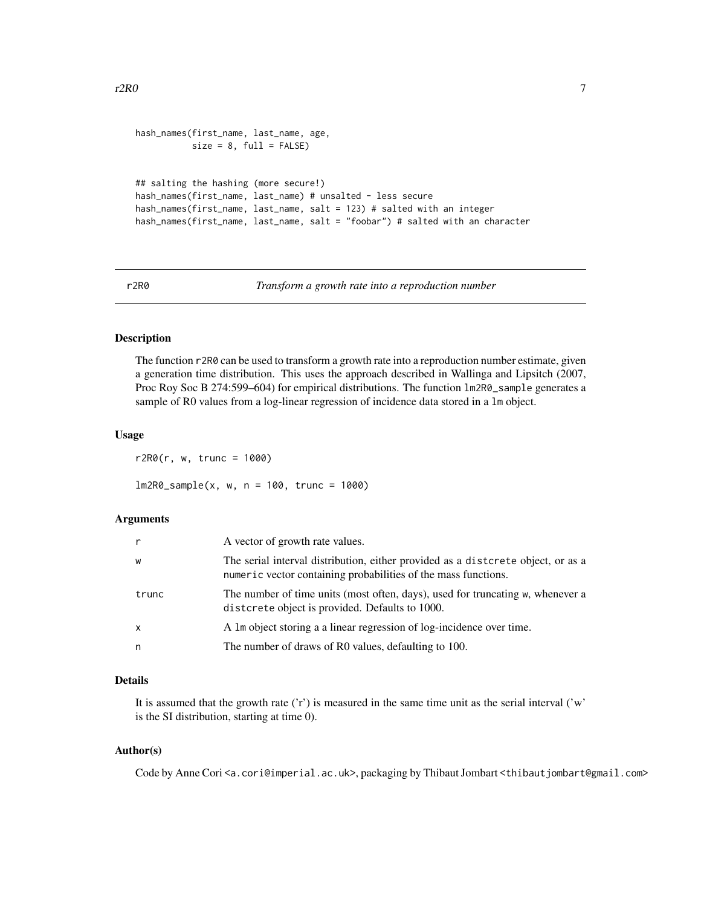```
hash_names(first_name, last_name, age,
          size = 8, full = FALSE)## salting the hashing (more secure!)
hash_names(first_name, last_name) # unsalted - less secure
hash_names(first_name, last_name, salt = 123) # salted with an integer
hash_names(first_name, last_name, salt = "foobar") # salted with an character
```
r2R0 *Transform a growth rate into a reproduction number*

#### Description

The function r2R0 can be used to transform a growth rate into a reproduction number estimate, given a generation time distribution. This uses the approach described in Wallinga and Lipsitch (2007, Proc Roy Soc B 274:599–604) for empirical distributions. The function lm2R0\_sample generates a sample of R0 values from a log-linear regression of incidence data stored in a lm object.

#### Usage

 $r2RØ(r, w, true = 1000)$ 

lm2R0\_sample(x, w, n = 100, trunc = 1000)

#### **Arguments**

| r            | A vector of growth rate values.                                                                                                                    |
|--------------|----------------------------------------------------------------------------------------------------------------------------------------------------|
| W            | The serial interval distribution, either provided as a distorete object, or as a<br>numeric vector containing probabilities of the mass functions. |
| trunc        | The number of time units (most often, days), used for truncating w, whenever a<br>distrieve the object is provided. Defaults to 1000.              |
| $\mathsf{x}$ | A 1m object storing a a linear regression of log-incidence over time.                                                                              |
| n            | The number of draws of R0 values, defaulting to 100.                                                                                               |

#### Details

It is assumed that the growth rate ('r') is measured in the same time unit as the serial interval ('w' is the SI distribution, starting at time 0).

#### Author(s)

Code by Anne Cori <a.cori@imperial.ac.uk>, packaging by Thibaut Jombart <thibaut jombart@gmail.com>

<span id="page-6-0"></span> $r2R0$  and  $r2R0$  and  $r2R0$  and  $r2R0$  and  $r2R0$  and  $r2R0$  and  $r2R0$  and  $r2R0$  and  $r2R0$  and  $r2R0$  and  $r2R0$  and  $r2R0$  and  $r2R0$  and  $r2R0$  and  $r2R0$  and  $r2R0$  and  $r2R0$  and  $r2R0$  and  $r2R0$  and  $r2R0$  and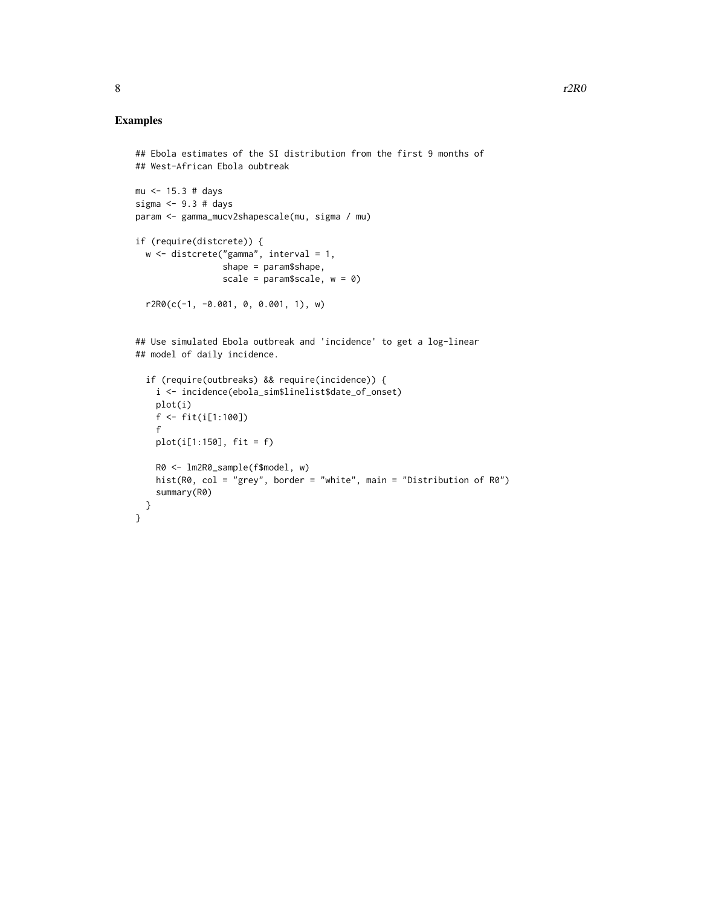```
## Ebola estimates of the SI distribution from the first 9 months of
## West-African Ebola oubtreak
mu <- 15.3 # days
sigma <- 9.3 # days
param <- gamma_mucv2shapescale(mu, sigma / mu)
if (require(distcrete)) {
  w <- distcrete("gamma", interval = 1,
                 shape = param$shape,
                 scale = param$scale, w = 0)
  r2R0(c(-1, -0.001, 0, 0.001, 1), w)
## Use simulated Ebola outbreak and 'incidence' to get a log-linear
## model of daily incidence.
  if (require(outbreaks) && require(incidence)) {
    i <- incidence(ebola_sim$linelist$date_of_onset)
   plot(i)
   f <- fit(i[1:100])
    f
   plot(i[1:150], fit = f)
   R0 <- lm2R0_sample(f$model, w)
   hist(R0, col = "grey", border = "white", main = "Distribution of R0")
   summary(R0)
 }
}
```